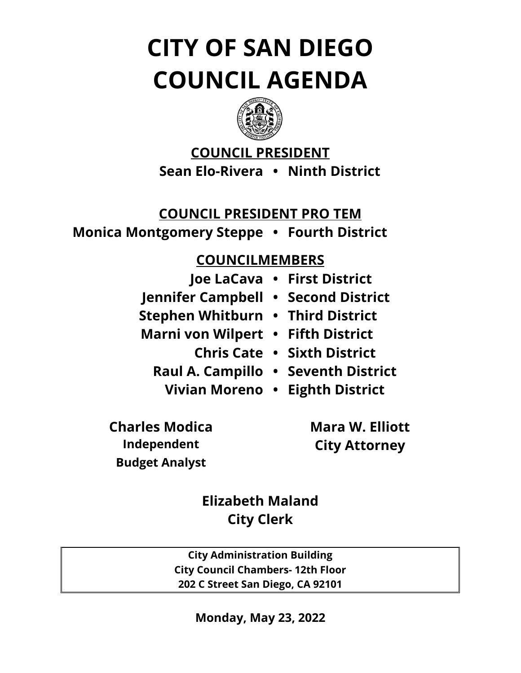# **CITY OF SAN DIEGO COUNCIL AGENDA**



# **COUNCIL PRESIDENT Sean Elo-Rivera • Ninth District**

# **COUNCIL PRESIDENT PRO TEM**

**Monica Montgomery Steppe • Fourth District**

# **COUNCILMEMBERS**

|                                     | Joe LaCava · First District        |
|-------------------------------------|------------------------------------|
| Jennifer Campbell • Second District |                                    |
| Stephen Whitburn • Third District   |                                    |
| Marni von Wilpert • Fifth District  |                                    |
|                                     | <b>Chris Cate · Sixth District</b> |
| Raul A. Campillo . Seventh District |                                    |
| Vivian Moreno • Eighth District     |                                    |

**Charles Modica Mara W. Elliott Budget Analyst**

**Independent City Attorney**

**Elizabeth Maland City Clerk**

**City Administration Building City Council Chambers- 12th Floor 202 C Street San Diego, CA 92101**

**Monday, May 23, 2022**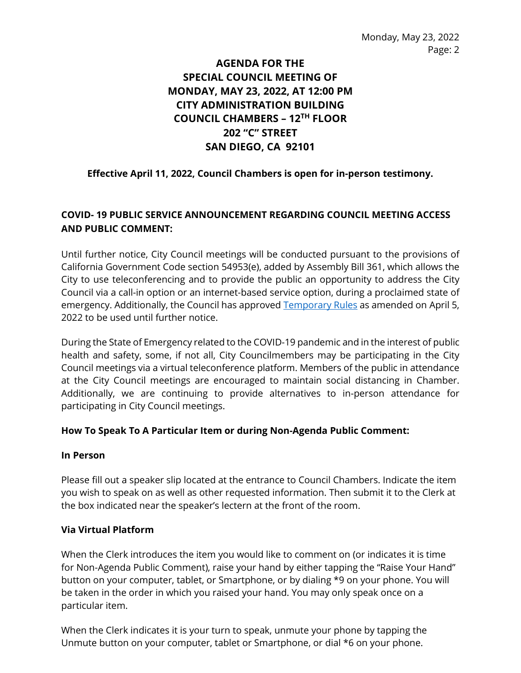# **AGENDA FOR THE SPECIAL COUNCIL MEETING OF MONDAY, MAY 23, 2022, AT 12:00 PM CITY ADMINISTRATION BUILDING COUNCIL CHAMBERS – 12TH FLOOR 202 "C" STREET SAN DIEGO, CA 92101**

# **Effective April 11, 2022, Council Chambers is open for in-person testimony.**

# **COVID- 19 PUBLIC SERVICE ANNOUNCEMENT REGARDING COUNCIL MEETING ACCESS AND PUBLIC COMMENT:**

Until further notice, City Council meetings will be conducted pursuant to the provisions of California Government Code section 54953(e), added by Assembly Bill 361, which allows the City to use teleconferencing and to provide the public an opportunity to address the City Council via a call-in option or an internet-based service option, during a proclaimed state of emergency. Additionally, the Council has approved [Temporary Rules](https://docs.sandiego.gov/council_reso_ordinance/rao2022/R-314029.pdf) as amended on April 5, 2022 to be used until further notice.

During the State of Emergency related to the COVID-19 pandemic and in the interest of public health and safety, some, if not all, City Councilmembers may be participating in the City Council meetings via a virtual teleconference platform. Members of the public in attendance at the City Council meetings are encouraged to maintain social distancing in Chamber. Additionally, we are continuing to provide alternatives to in-person attendance for participating in City Council meetings.

#### **How To Speak To A Particular Item or during Non-Agenda Public Comment:**

#### **In Person**

Please fill out a speaker slip located at the entrance to Council Chambers. Indicate the item you wish to speak on as well as other requested information. Then submit it to the Clerk at the box indicated near the speaker's lectern at the front of the room.

#### **Via Virtual Platform**

When the Clerk introduces the item you would like to comment on (or indicates it is time for Non-Agenda Public Comment), raise your hand by either tapping the "Raise Your Hand" button on your computer, tablet, or Smartphone, or by dialing \*9 on your phone. You will be taken in the order in which you raised your hand. You may only speak once on a particular item.

When the Clerk indicates it is your turn to speak, unmute your phone by tapping the Unmute button on your computer, tablet or Smartphone, or dial \*6 on your phone.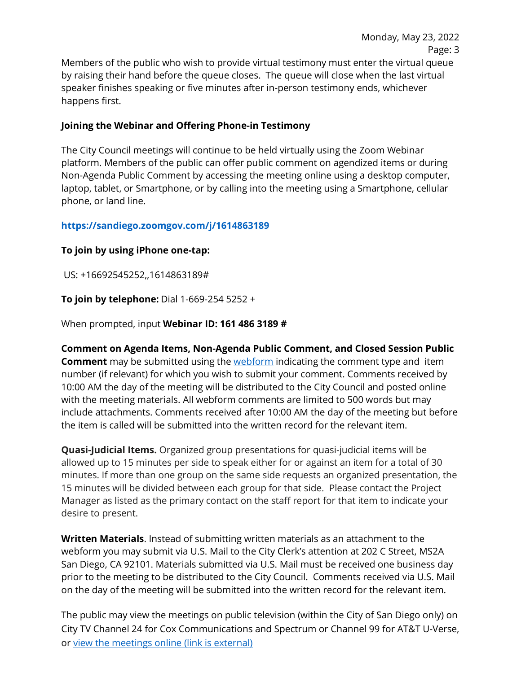Members of the public who wish to provide virtual testimony must enter the virtual queue by raising their hand before the queue closes. The queue will close when the last virtual speaker finishes speaking or five minutes after in-person testimony ends, whichever happens first.

# **Joining the Webinar and Offering Phone-in Testimony**

The City Council meetings will continue to be held virtually using the Zoom Webinar platform. Members of the public can offer public comment on agendized items or during Non-Agenda Public Comment by accessing the meeting online using a desktop computer, laptop, tablet, or Smartphone, or by calling into the meeting using a Smartphone, cellular phone, or land line.

# **<https://sandiego.zoomgov.com/j/1614863189>**

# **To join by using iPhone one-tap:**

US: +16692545252,,1614863189#

**To join by telephone:** Dial 1-669-254 5252 +

When prompted, input **Webinar ID: 161 486 3189 #** 

**Comment on Agenda Items, Non-Agenda Public Comment, and Closed Session Public Comment** may be submitted using the [webform](https://www.sandiego.gov/form/agenda-comment-form) indicating the comment type and item number (if relevant) for which you wish to submit your comment. Comments received by 10:00 AM the day of the meeting will be distributed to the City Council and posted online with the meeting materials. All webform comments are limited to 500 words but may include attachments. Comments received after 10:00 AM the day of the meeting but before the item is called will be submitted into the written record for the relevant item.

**Quasi-Judicial Items.** Organized group presentations for quasi-judicial items will be allowed up to 15 minutes per side to speak either for or against an item for a total of 30 minutes. If more than one group on the same side requests an organized presentation, the 15 minutes will be divided between each group for that side. Please contact the Project Manager as listed as the primary contact on the staff report for that item to indicate your desire to present.

**Written Materials**. Instead of submitting written materials as an attachment to the webform you may submit via U.S. Mail to the City Clerk's attention at 202 C Street, MS2A San Diego, CA 92101. Materials submitted via U.S. Mail must be received one business day prior to the meeting to be distributed to the City Council. Comments received via U.S. Mail on the day of the meeting will be submitted into the written record for the relevant item.

The public may view the meetings on public television (within the City of San Diego only) on City TV Channel 24 for Cox Communications and Spectrum or Channel 99 for AT&T U-Verse, or [view the meetings online \(link is external\)](http://sandiego.granicus.com/ViewPublisher.php?view_id=31)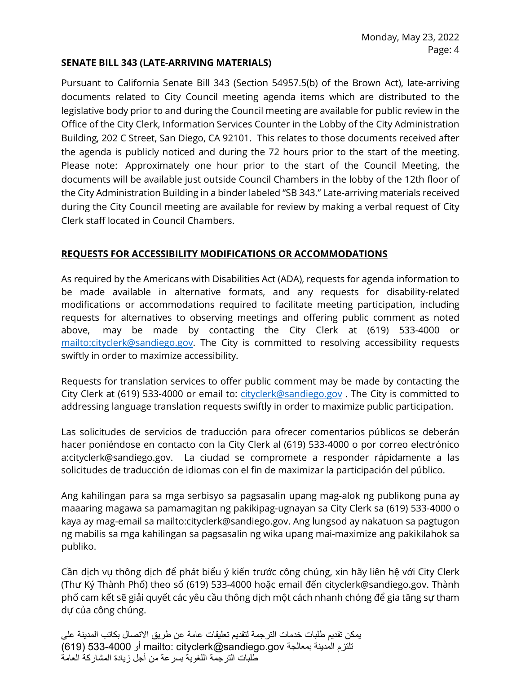#### **SENATE BILL 343 (LATE-ARRIVING MATERIALS)**

Pursuant to California Senate Bill 343 (Section 54957.5(b) of the Brown Act), late-arriving documents related to City Council meeting agenda items which are distributed to the legislative body prior to and during the Council meeting are available for public review in the Office of the City Clerk, Information Services Counter in the Lobby of the City Administration Building, 202 C Street, San Diego, CA 92101. This relates to those documents received after the agenda is publicly noticed and during the 72 hours prior to the start of the meeting. Please note: Approximately one hour prior to the start of the Council Meeting, the documents will be available just outside Council Chambers in the lobby of the 12th floor of the City Administration Building in a binder labeled "SB 343." Late-arriving materials received during the City Council meeting are available for review by making a verbal request of City Clerk staff located in Council Chambers.

#### **REQUESTS FOR ACCESSIBILITY MODIFICATIONS OR ACCOMMODATIONS**

As required by the Americans with Disabilities Act (ADA), requests for agenda information to be made available in alternative formats, and any requests for disability-related modifications or accommodations required to facilitate meeting participation, including requests for alternatives to observing meetings and offering public comment as noted above, may be made by contacting the City Clerk at (619) 533-4000 or [mailto:cityclerk@sandiego.gov.](mailto:cityclerk@sandiego.gov) The City is committed to resolving accessibility requests swiftly in order to maximize accessibility.

Requests for translation services to offer public comment may be made by contacting the City Clerk at (619) 533-4000 or email to: [cityclerk@sandiego.gov](mailto:cityclerk@sandiego.gov) . The City is committed to addressing language translation requests swiftly in order to maximize public participation.

Las solicitudes de servicios de traducción para ofrecer comentarios públicos se deberán hacer poniéndose en contacto con la City Clerk al (619) 533-4000 o por correo electrónico a:cityclerk@sandiego.gov. La ciudad se compromete a responder rápidamente a las solicitudes de traducción de idiomas con el fin de maximizar la participación del público.

Ang kahilingan para sa mga serbisyo sa pagsasalin upang mag-alok ng publikong puna ay maaaring magawa sa pamamagitan ng pakikipag-ugnayan sa City Clerk sa (619) 533-4000 o kaya ay mag-email sa mailto:cityclerk@sandiego.gov. Ang lungsod ay nakatuon sa pagtugon ng mabilis sa mga kahilingan sa pagsasalin ng wika upang mai-maximize ang pakikilahok sa publiko.

Cần dịch vụ thông dịch để phát biểu ý kiến trước công chúng, xin hãy liên hệ với City Clerk (Thư Ký Thành Phố) theo số (619) 533-4000 hoặc email đến cityclerk@sandiego.gov. Thành phố cam kết sẽ giải quyết các yêu cầu thông dịch một cách nhanh chóng để gia tăng sự tham dự của công chúng.

 یمكن تقدیم طلبات خدمات الترجمة لتقدیم تعلیقات عامة عن طریق الاتصال بكاتب المدینة على تلتزم المدینة بمعالجة gov.sandiego@cityclerk :mailto أو 533-4000 (619) طلبات الترجمة اللغویة بسرعة من أجل زیادة المشاركة العامة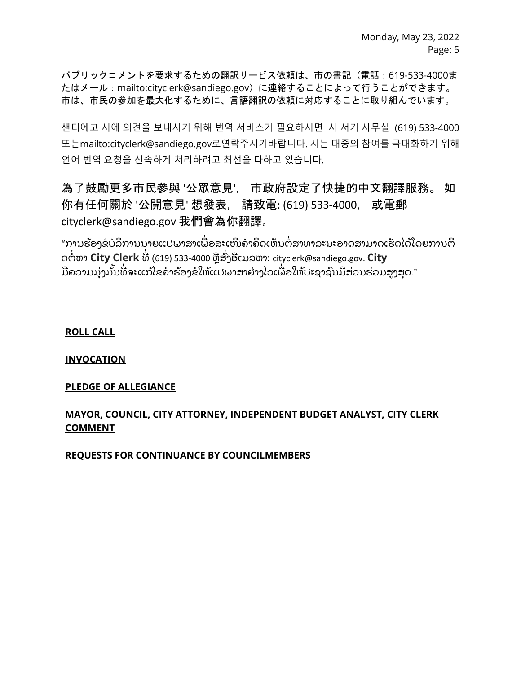パブリックコメントを要求するための翻訳サービス依頼は、市の書記(電話:619-533-4000ま たはメール:mailto:cityclerk@sandiego.gov)に連絡することによって行うことができます。 市は、市民の参加を最大化するために、言語翻訳の依頼に対応することに取り組んでいます。

샌디에고 시에 의견을 보내시기 위해 번역 서비스가 필요하시면 시 서기 사무실 (619) 533-4000 또는mailto:cityclerk@sandiego.gov로연락주시기바랍니다. 시는 대중의 참여를 극대화하기 위해 언어 번역 요청을 신속하게 처리하려고 최선을 다하고 있습니다.

為了鼓勵更多市民參與 '公眾意見', 市政府設定了快捷的中文翻譯服務。 如 你有任何關於 '公開意見' 想發表, 請致電: (619) 533-4000, 或電郵 cityclerk@sandiego.gov 我們會為你翻譯。

"ການຮ້ອງຂໍບໍລິການນາຍແປພາສາເພື່ອສະເໜີຄຳຄິດເຫັນຕໍ່ສາທາລະນະອາດສາມາດເຮັດໄດ້ໂດຍການຕິ ດຕໍ່ຫາ **City Clerk** ທີ່ (619) 533-4000 ຫຼືສົ່ງອີເມລຫາ: cityclerk@sandiego.gov. **City** ່ ມີຄວາມມຸ່ງມັນທີ່ຈະແກ້ໄຂຄໍາຮ້ອງຂໍໃຫ້ແປພາສາຢ່າງໄວເພື່ອໃຫ້ປະຊາຊົນມີສ່ວນຮ່ວມສູງສຸດ."

**ROLL CALL**

**INVOCATION**

#### **PLEDGE OF ALLEGIANCE**

## **MAYOR, COUNCIL, CITY ATTORNEY, INDEPENDENT BUDGET ANALYST, CITY CLERK COMMENT**

**REQUESTS FOR CONTINUANCE BY COUNCILMEMBERS**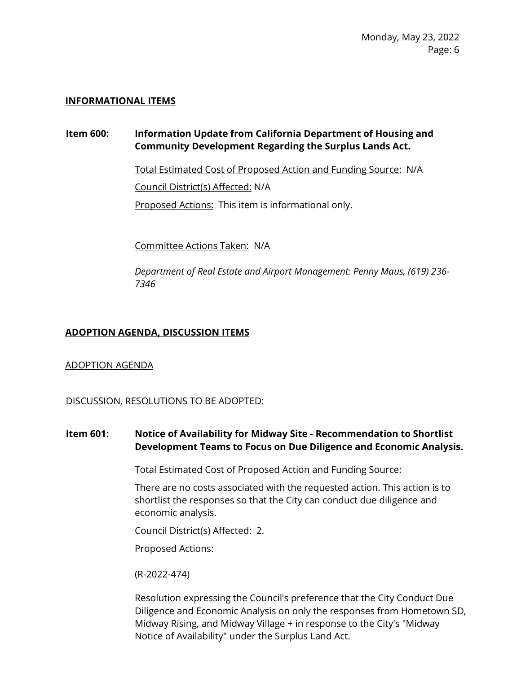#### **INFORMATIONAL ITEMS**

# **Item 600: Information Update from California Department of Housing and Community Development Regarding the Surplus Lands Act.**

Total Estimated Cost of Proposed Action and Funding Source: N/A Council District(s) Affected: N/A Proposed Actions: This item is informational only.

Committee Actions Taken: N/A

*Department of Real Estate and Airport Management: Penny Maus, (619) 236- 7346*

#### **ADOPTION AGENDA, DISCUSSION ITEMS**

#### ADOPTION AGENDA

DISCUSSION, RESOLUTIONS TO BE ADOPTED:

## **Item 601: Notice of Availability for Midway Site - Recommendation to Shortlist Development Teams to Focus on Due Diligence and Economic Analysis.**

Total Estimated Cost of Proposed Action and Funding Source:

There are no costs associated with the requested action. This action is to shortlist the responses so that the City can conduct due diligence and economic analysis.

Council District(s) Affected: 2.

Proposed Actions:

(R-2022-474)

Resolution expressing the Council's preference that the City Conduct Due Diligence and Economic Analysis on only the responses from Hometown SD, Midway Rising, and Midway Village + in response to the City's "Midway Notice of Availability" under the Surplus Land Act.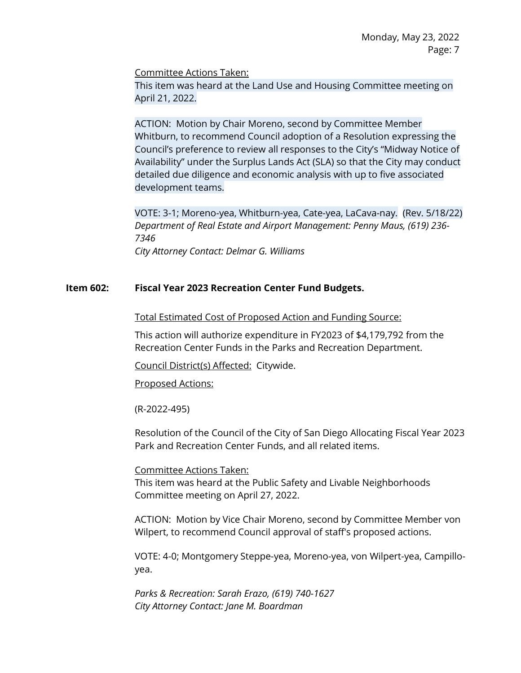Committee Actions Taken:

This item was heard at the Land Use and Housing Committee meeting on April 21, 2022.

ACTION: Motion by Chair Moreno, second by Committee Member Whitburn, to recommend Council adoption of a Resolution expressing the Council's preference to review all responses to the City's "Midway Notice of Availability" under the Surplus Lands Act (SLA) so that the City may conduct detailed due diligence and economic analysis with up to five associated development teams.

VOTE: 3-1; Moreno-yea, Whitburn-yea, Cate-yea, LaCava-nay. (Rev. 5/18/22) *Department of Real Estate and Airport Management: Penny Maus, (619) 236- 7346 City Attorney Contact: Delmar G. Williams*

#### **Item 602: Fiscal Year 2023 Recreation Center Fund Budgets.**

Total Estimated Cost of Proposed Action and Funding Source:

This action will authorize expenditure in FY2023 of \$4,179,792 from the Recreation Center Funds in the Parks and Recreation Department.

Council District(s) Affected: Citywide.

Proposed Actions:

(R-2022-495)

Resolution of the Council of the City of San Diego Allocating Fiscal Year 2023 Park and Recreation Center Funds, and all related items.

#### Committee Actions Taken:

This item was heard at the Public Safety and Livable Neighborhoods Committee meeting on April 27, 2022.

ACTION: Motion by Vice Chair Moreno, second by Committee Member von Wilpert, to recommend Council approval of staff's proposed actions.

VOTE: 4-0; Montgomery Steppe-yea, Moreno-yea, von Wilpert-yea, Campilloyea.

*Parks & Recreation: Sarah Erazo, (619) 740-1627 City Attorney Contact: Jane M. Boardman*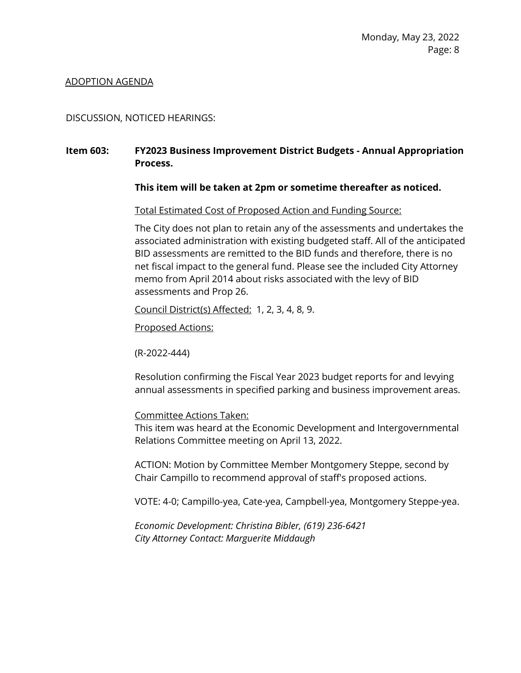#### ADOPTION AGENDA

#### DISCUSSION, NOTICED HEARINGS:

#### **Item 603: FY2023 Business Improvement District Budgets - Annual Appropriation Process.**

#### **This item will be taken at 2pm or sometime thereafter as noticed.**

Total Estimated Cost of Proposed Action and Funding Source:

The City does not plan to retain any of the assessments and undertakes the associated administration with existing budgeted staff. All of the anticipated BID assessments are remitted to the BID funds and therefore, there is no net fiscal impact to the general fund. Please see the included City Attorney memo from April 2014 about risks associated with the levy of BID assessments and Prop 26.

Council District(s) Affected: 1, 2, 3, 4, 8, 9.

Proposed Actions:

(R-2022-444)

Resolution confirming the Fiscal Year 2023 budget reports for and levying annual assessments in specified parking and business improvement areas.

#### Committee Actions Taken:

This item was heard at the Economic Development and Intergovernmental Relations Committee meeting on April 13, 2022.

ACTION: Motion by Committee Member Montgomery Steppe, second by Chair Campillo to recommend approval of staff's proposed actions.

VOTE: 4-0; Campillo-yea, Cate-yea, Campbell-yea, Montgomery Steppe-yea.

*Economic Development: Christina Bibler, (619) 236-6421 City Attorney Contact: Marguerite Middaugh*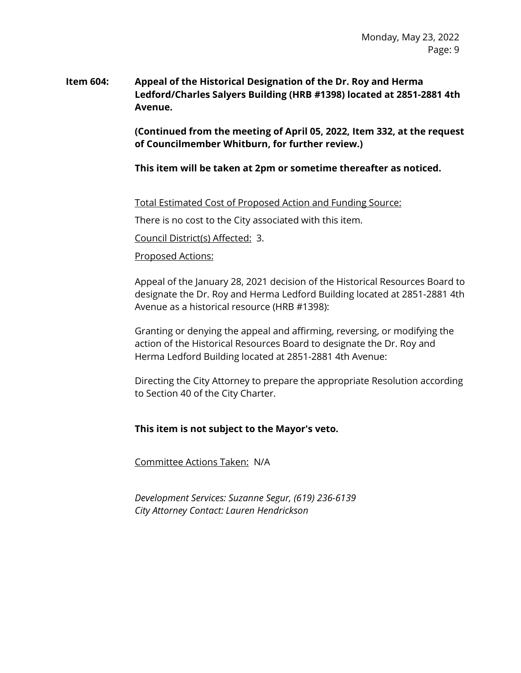## **Item 604: Appeal of the Historical Designation of the Dr. Roy and Herma Ledford/Charles Salyers Building (HRB #1398) located at 2851-2881 4th Avenue.**

**(Continued from the meeting of April 05, 2022, Item 332, at the request of Councilmember Whitburn, for further review.)**

**This item will be taken at 2pm or sometime thereafter as noticed.**

Total Estimated Cost of Proposed Action and Funding Source:

There is no cost to the City associated with this item.

Council District(s) Affected: 3.

#### Proposed Actions:

Appeal of the January 28, 2021 decision of the Historical Resources Board to designate the Dr. Roy and Herma Ledford Building located at 2851-2881 4th Avenue as a historical resource (HRB #1398):

Granting or denying the appeal and affirming, reversing, or modifying the action of the Historical Resources Board to designate the Dr. Roy and Herma Ledford Building located at 2851-2881 4th Avenue:

Directing the City Attorney to prepare the appropriate Resolution according to Section 40 of the City Charter.

#### **This item is not subject to the Mayor's veto.**

Committee Actions Taken: N/A

*Development Services: Suzanne Segur, (619) 236-6139 City Attorney Contact: Lauren Hendrickson*